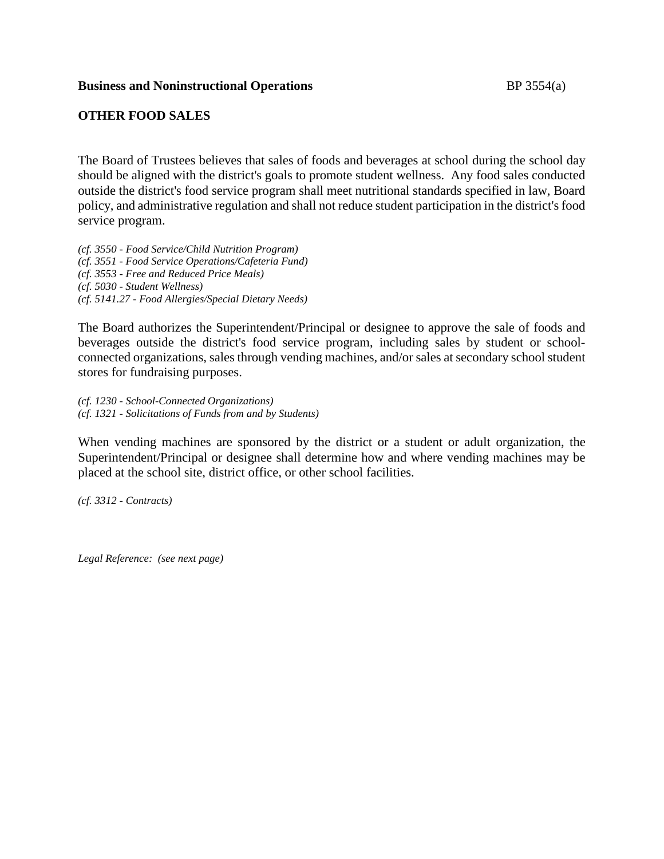#### **Business and Noninstructional Operations** BP 3554(a)

### **OTHER FOOD SALES**

The Board of Trustees believes that sales of foods and beverages at school during the school day should be aligned with the district's goals to promote student wellness. Any food sales conducted outside the district's food service program shall meet nutritional standards specified in law, Board policy, and administrative regulation and shall not reduce student participation in the district's food service program.

*(cf. 3550 - Food Service/Child Nutrition Program) (cf. 3551 - Food Service Operations/Cafeteria Fund) (cf. 3553 - Free and Reduced Price Meals) (cf. 5030 - Student Wellness) (cf. 5141.27 - Food Allergies/Special Dietary Needs)*

The Board authorizes the Superintendent/Principal or designee to approve the sale of foods and beverages outside the district's food service program, including sales by student or schoolconnected organizations, sales through vending machines, and/or sales at secondary school student stores for fundraising purposes.

*(cf. 1230 - School-Connected Organizations) (cf. 1321 - Solicitations of Funds from and by Students)*

When vending machines are sponsored by the district or a student or adult organization, the Superintendent/Principal or designee shall determine how and where vending machines may be placed at the school site, district office, or other school facilities.

*(cf. 3312 - Contracts)*

*Legal Reference: (see next page)*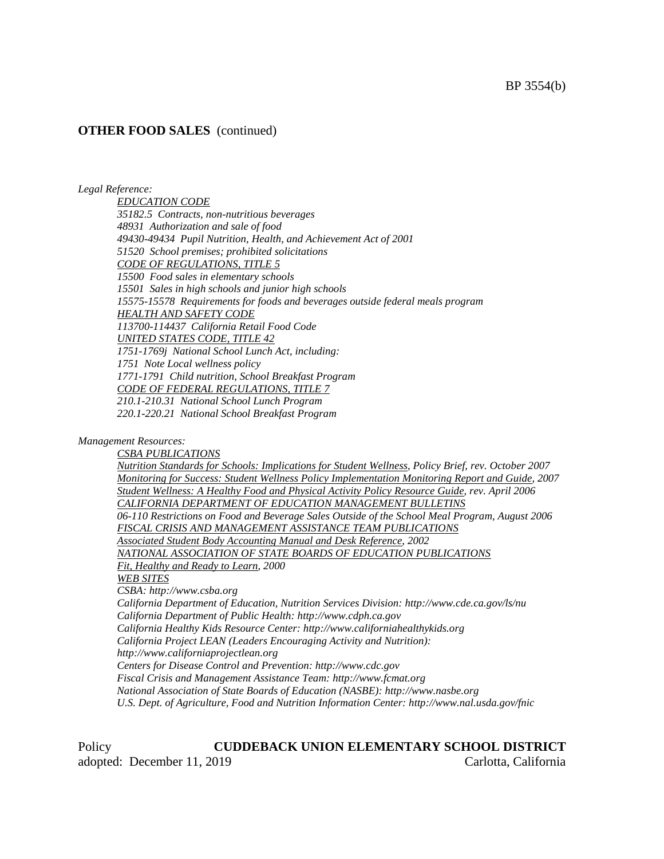### **OTHER FOOD SALES** (continued)

#### *Legal Reference:*

*EDUCATION CODE 35182.5 Contracts, non-nutritious beverages 48931 Authorization and sale of food 49430-49434 Pupil Nutrition, Health, and Achievement Act of 2001 51520 School premises; prohibited solicitations CODE OF REGULATIONS, TITLE 5 15500 Food sales in elementary schools 15501 Sales in high schools and junior high schools 15575-15578 Requirements for foods and beverages outside federal meals program HEALTH AND SAFETY CODE 113700-114437 California Retail Food Code UNITED STATES CODE, TITLE 42 1751-1769j National School Lunch Act, including: 1751 Note Local wellness policy 1771-1791 Child nutrition, School Breakfast Program CODE OF FEDERAL REGULATIONS, TITLE 7 210.1-210.31 National School Lunch Program 220.1-220.21 National School Breakfast Program*

#### *Management Resources:*

*CSBA PUBLICATIONS Nutrition Standards for Schools: Implications for Student Wellness, Policy Brief, rev. October 2007 Monitoring for Success: Student Wellness Policy Implementation Monitoring Report and Guide, 2007 Student Wellness: A Healthy Food and Physical Activity Policy Resource Guide, rev. April 2006 CALIFORNIA DEPARTMENT OF EDUCATION MANAGEMENT BULLETINS 06-110 Restrictions on Food and Beverage Sales Outside of the School Meal Program, August 2006 FISCAL CRISIS AND MANAGEMENT ASSISTANCE TEAM PUBLICATIONS Associated Student Body Accounting Manual and Desk Reference, 2002 NATIONAL ASSOCIATION OF STATE BOARDS OF EDUCATION PUBLICATIONS Fit, Healthy and Ready to Learn, 2000 WEB SITES CSBA: http://www.csba.org California Department of Education, Nutrition Services Division: http://www.cde.ca.gov/ls/nu California Department of Public Health: http://www.cdph.ca.gov California Healthy Kids Resource Center: http://www.californiahealthykids.org California Project LEAN (Leaders Encouraging Activity and Nutrition): http://www.californiaprojectlean.org Centers for Disease Control and Prevention: http://www.cdc.gov Fiscal Crisis and Management Assistance Team: http://www.fcmat.org National Association of State Boards of Education (NASBE): http://www.nasbe.org U.S. Dept. of Agriculture, Food and Nutrition Information Center: http://www.nal.usda.gov/fnic*

Policy **CUDDEBACK UNION ELEMENTARY SCHOOL DISTRICT** adopted: December 11, 2019 Carlotta, California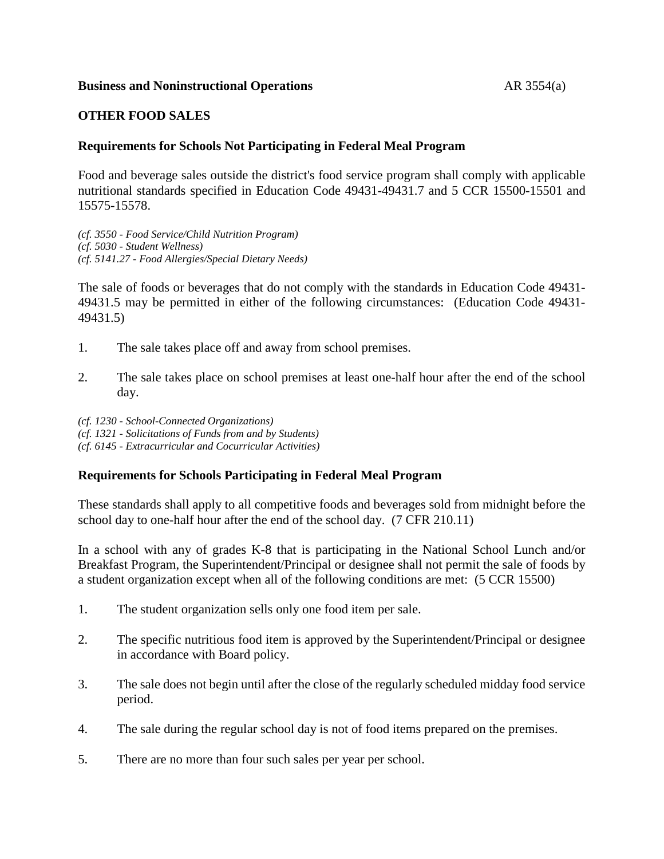### **Business and Noninstructional Operations** AR 3554(a)

## **OTHER FOOD SALES**

### **Requirements for Schools Not Participating in Federal Meal Program**

Food and beverage sales outside the district's food service program shall comply with applicable nutritional standards specified in Education Code 49431-49431.7 and 5 CCR 15500-15501 and 15575-15578.

*(cf. 3550 - Food Service/Child Nutrition Program) (cf. 5030 - Student Wellness) (cf. 5141.27 - Food Allergies/Special Dietary Needs)*

The sale of foods or beverages that do not comply with the standards in Education Code 49431- 49431.5 may be permitted in either of the following circumstances: (Education Code 49431- 49431.5)

- 1. The sale takes place off and away from school premises.
- 2. The sale takes place on school premises at least one-half hour after the end of the school day.

*(cf. 1230 - School-Connected Organizations) (cf. 1321 - Solicitations of Funds from and by Students) (cf. 6145 - Extracurricular and Cocurricular Activities)*

#### **Requirements for Schools Participating in Federal Meal Program**

These standards shall apply to all competitive foods and beverages sold from midnight before the school day to one-half hour after the end of the school day. (7 CFR 210.11)

In a school with any of grades K-8 that is participating in the National School Lunch and/or Breakfast Program, the Superintendent/Principal or designee shall not permit the sale of foods by a student organization except when all of the following conditions are met: (5 CCR 15500)

- 1. The student organization sells only one food item per sale.
- 2. The specific nutritious food item is approved by the Superintendent/Principal or designee in accordance with Board policy.
- 3. The sale does not begin until after the close of the regularly scheduled midday food service period.
- 4. The sale during the regular school day is not of food items prepared on the premises.
- 5. There are no more than four such sales per year per school.